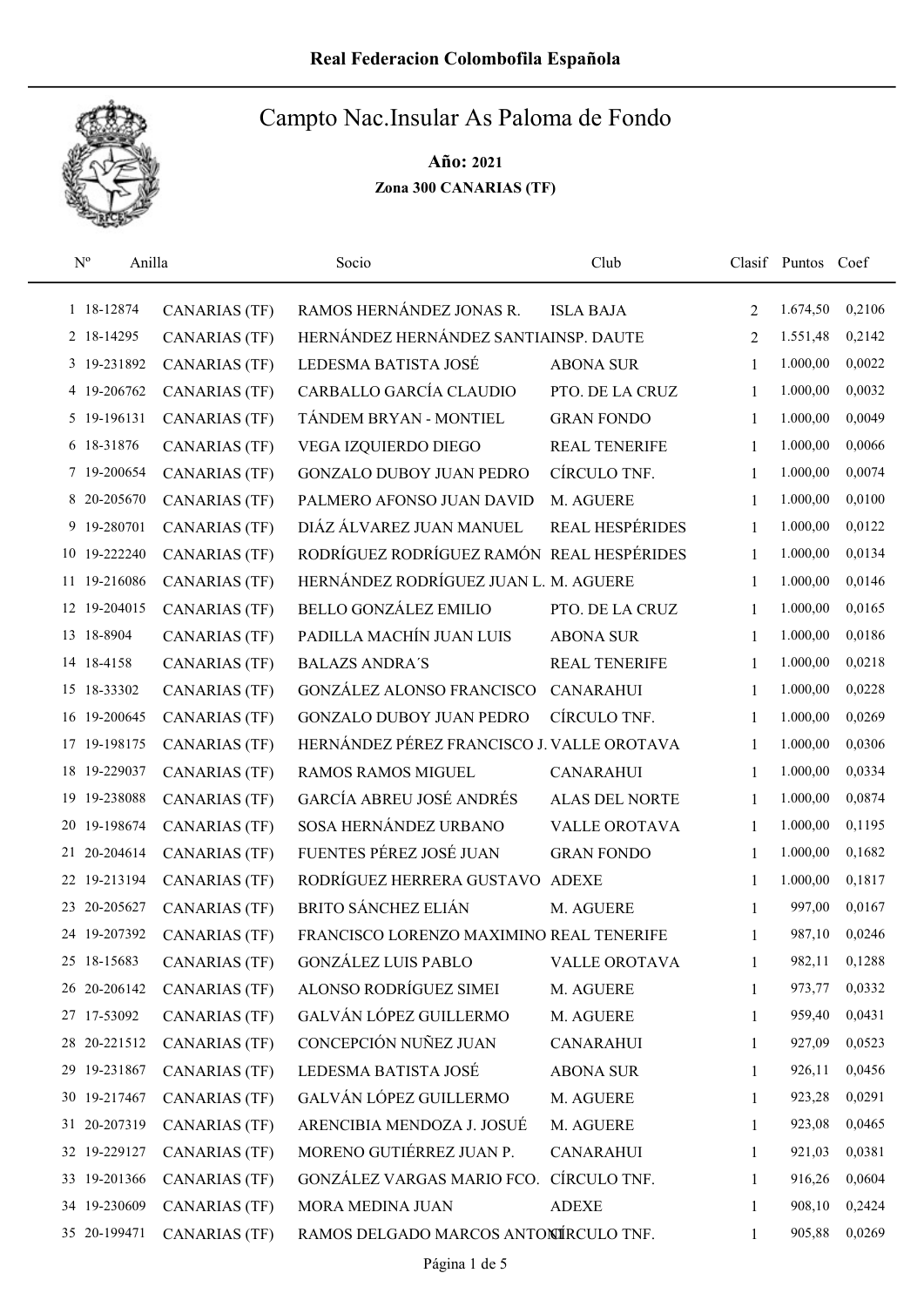

| $N^{o}$     | Anilla       |                      | Socio                                      | Club                   |                | Clasif Puntos Coef |        |
|-------------|--------------|----------------------|--------------------------------------------|------------------------|----------------|--------------------|--------|
|             | 1 18-12874   | <b>CANARIAS (TF)</b> | RAMOS HERNÁNDEZ JONAS R.                   | <b>ISLA BAJA</b>       | 2              | 1.674,50           | 0,2106 |
|             | 2 18-14295   | <b>CANARIAS (TF)</b> | HERNÁNDEZ HERNÁNDEZ SANTIAINSP. DAUTE      |                        | $\overline{2}$ | 1.551,48           | 0,2142 |
|             | 3 19-231892  | <b>CANARIAS (TF)</b> | LEDESMA BATISTA JOSÉ                       | <b>ABONA SUR</b>       | 1              | 1.000,00           | 0,0022 |
|             | 4 19-206762  | <b>CANARIAS (TF)</b> | CARBALLO GARCÍA CLAUDIO                    | PTO. DE LA CRUZ        | 1              | 1.000,00           | 0,0032 |
|             | 5 19-196131  | <b>CANARIAS (TF)</b> | TÁNDEM BRYAN - MONTIEL                     | <b>GRAN FONDO</b>      | 1              | 1.000,00           | 0,0049 |
|             | 6 18-31876   | <b>CANARIAS (TF)</b> | VEGA IZQUIERDO DIEGO                       | <b>REAL TENERIFE</b>   | $\mathbf{1}$   | 1.000,00           | 0,0066 |
|             | 7 19-200654  | <b>CANARIAS (TF)</b> | <b>GONZALO DUBOY JUAN PEDRO</b>            | CÍRCULO TNF.           | $\mathbf{1}$   | 1.000,00           | 0,0074 |
|             | 8 20-205670  | <b>CANARIAS (TF)</b> | PALMERO AFONSO JUAN DAVID                  | M. AGUERE              | 1              | 1.000,00           | 0,0100 |
|             | 9 19-280701  | CANARIAS (TF)        | DIÁZ ÁLVAREZ JUAN MANUEL                   | <b>REAL HESPÉRIDES</b> | 1              | 1.000,00           | 0,0122 |
|             | 10 19-222240 | <b>CANARIAS (TF)</b> | RODRÍGUEZ RODRÍGUEZ RAMÓN REAL HESPÉRIDES  |                        | $\mathbf{1}$   | 1.000,00           | 0,0134 |
|             | 11 19-216086 | <b>CANARIAS (TF)</b> | HERNÁNDEZ RODRÍGUEZ JUAN L. M. AGUERE      |                        | 1              | 1.000,00           | 0,0146 |
|             | 12 19-204015 | <b>CANARIAS (TF)</b> | <b>BELLO GONZÁLEZ EMILIO</b>               | PTO. DE LA CRUZ        | 1              | 1.000,00           | 0,0165 |
| 13 18-8904  |              | <b>CANARIAS (TF)</b> | PADILLA MACHÍN JUAN LUIS                   | <b>ABONA SUR</b>       | 1              | 1.000,00           | 0,0186 |
| 14 18-4158  |              | <b>CANARIAS (TF)</b> | <b>BALAZS ANDRA'S</b>                      | <b>REAL TENERIFE</b>   | 1              | 1.000,00           | 0,0218 |
| 15 18-33302 |              | <b>CANARIAS (TF)</b> | <b>GONZÁLEZ ALONSO FRANCISCO</b>           | <b>CANARAHUI</b>       | 1              | 1.000,00           | 0,0228 |
| 16          | 19-200645    | <b>CANARIAS (TF)</b> | <b>GONZALO DUBOY JUAN PEDRO</b>            | CÍRCULO TNF.           | 1              | 1.000,00           | 0,0269 |
|             | 17 19-198175 | <b>CANARIAS (TF)</b> | HERNÁNDEZ PÉREZ FRANCISCO J. VALLE OROTAVA |                        | 1              | 1.000,00           | 0,0306 |
| 18          | 19-229037    | <b>CANARIAS (TF)</b> | <b>RAMOS RAMOS MIGUEL</b>                  | <b>CANARAHUI</b>       | 1              | 1.000,00           | 0,0334 |
| 19          | 19-238088    | <b>CANARIAS (TF)</b> | GARCÍA ABREU JOSÉ ANDRÉS                   | <b>ALAS DEL NORTE</b>  | $\mathbf{1}$   | 1.000,00           | 0,0874 |
|             | 20 19-198674 | <b>CANARIAS (TF)</b> | SOSA HERNÁNDEZ URBANO                      | <b>VALLE OROTAVA</b>   | $\mathbf{1}$   | 1.000,00           | 0,1195 |
|             | 21 20-204614 | <b>CANARIAS (TF)</b> | FUENTES PÉREZ JOSÉ JUAN                    | <b>GRAN FONDO</b>      | 1              | 1.000,00           | 0,1682 |
|             | 22 19-213194 | <b>CANARIAS (TF)</b> | RODRÍGUEZ HERRERA GUSTAVO ADEXE            |                        | 1              | 1.000,00           | 0,1817 |
| 23          | 20-205627    | <b>CANARIAS (TF)</b> | <b>BRITO SÁNCHEZ ELIÁN</b>                 | M. AGUERE              | 1              | 997,00             | 0,0167 |
|             | 24 19-207392 | <b>CANARIAS (TF)</b> | FRANCISCO LORENZO MAXIMINO REAL TENERIFE   |                        | 1              | 987,10             | 0,0246 |
| 25 18-15683 |              | <b>CANARIAS (TF)</b> | <b>GONZÁLEZ LUIS PABLO</b>                 | VALLE OROTAVA          | 1              | 982,11             | 0,1288 |
|             | 26 20-206142 | <b>CANARIAS (TF)</b> | ALONSO RODRÍGUEZ SIMEI                     | M. AGUERE              | 1              | 973,77             | 0,0332 |
| 27 17-53092 |              | <b>CANARIAS (TF)</b> | GALVÁN LÓPEZ GUILLERMO                     | M. AGUERE              | 1              | 959,40             | 0,0431 |
|             | 28 20-221512 | CANARIAS (TF)        | CONCEPCIÓN NUÑEZ JUAN                      | <b>CANARAHUI</b>       | 1              | 927,09             | 0,0523 |
|             | 29 19-231867 | <b>CANARIAS (TF)</b> | LEDESMA BATISTA JOSÉ                       | <b>ABONA SUR</b>       | 1              | 926,11             | 0,0456 |
|             | 30 19-217467 | <b>CANARIAS (TF)</b> | GALVÁN LÓPEZ GUILLERMO                     | M. AGUERE              | 1              | 923,28             | 0,0291 |
|             | 31 20-207319 | <b>CANARIAS (TF)</b> | ARENCIBIA MENDOZA J. JOSUÉ                 | M. AGUERE              | 1              | 923,08             | 0,0465 |
|             | 32 19-229127 | <b>CANARIAS (TF)</b> | MORENO GUTIÉRREZ JUAN P.                   | <b>CANARAHUI</b>       | 1              | 921,03             | 0,0381 |
|             | 33 19-201366 | <b>CANARIAS (TF)</b> | GONZÁLEZ VARGAS MARIO FCO.                 | CÍRCULO TNF.           | 1              | 916,26             | 0,0604 |
|             | 34 19-230609 | <b>CANARIAS (TF)</b> | MORA MEDINA JUAN                           | <b>ADEXE</b>           | 1              | 908,10             | 0,2424 |
|             | 35 20-199471 | <b>CANARIAS (TF)</b> | RAMOS DELGADO MARCOS ANTONÍRCULO TNF.      |                        | 1              | 905,88             | 0,0269 |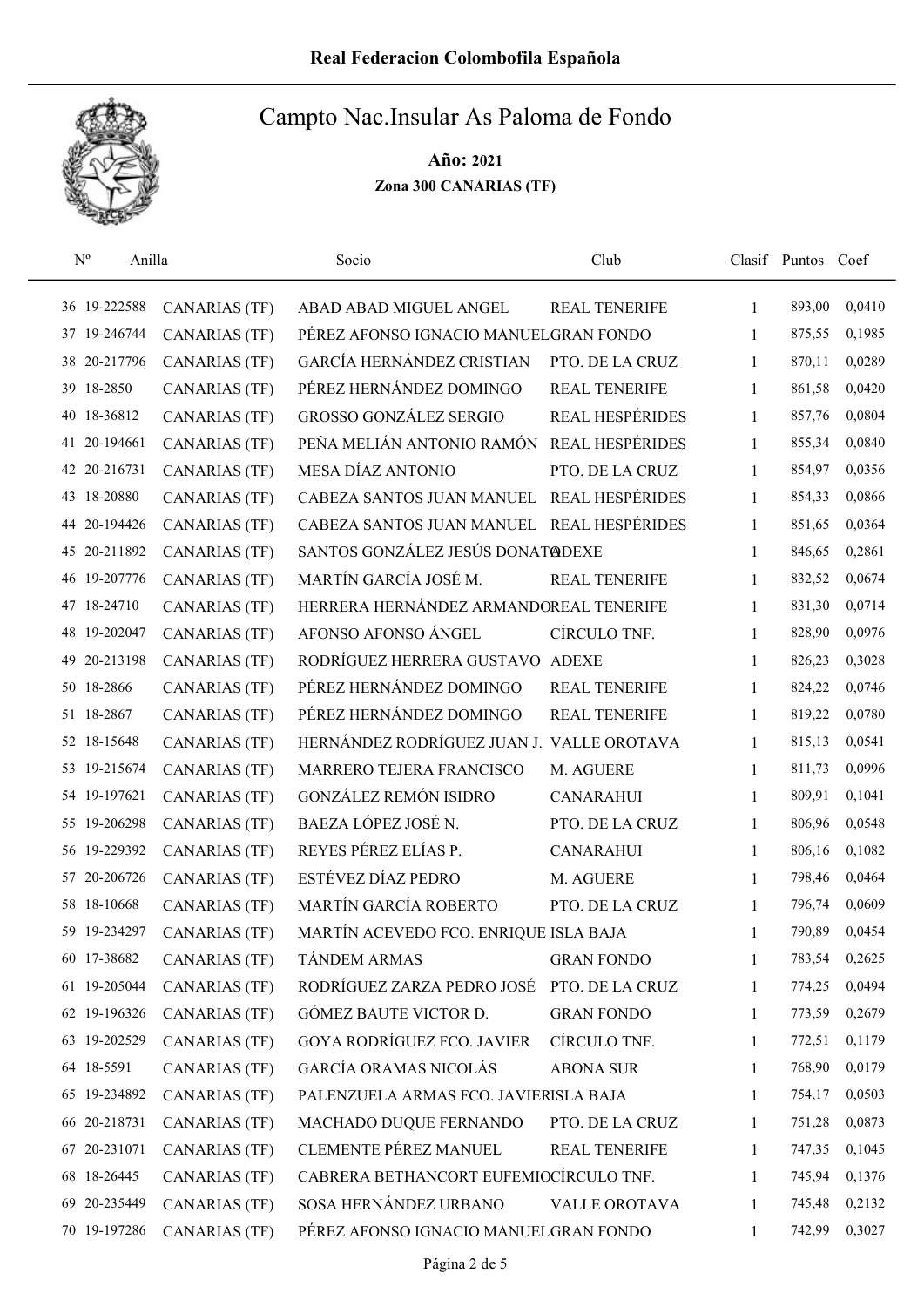

| $N^{o}$         | Anilla    |                      | Socio                                     | Club                   |              | Clasif Puntos Coef |        |
|-----------------|-----------|----------------------|-------------------------------------------|------------------------|--------------|--------------------|--------|
| 36 19-222588    |           | <b>CANARIAS (TF)</b> | ABAD ABAD MIGUEL ANGEL                    | REAL TENERIFE          | $\mathbf{1}$ | 893,00             | 0,0410 |
| 37              | 19-246744 | <b>CANARIAS (TF)</b> | PÉREZ AFONSO IGNACIO MANUELGRAN FONDO     |                        | $\mathbf{1}$ | 875,55             | 0,1985 |
| 38              | 20-217796 | <b>CANARIAS (TF)</b> | GARCÍA HERNÁNDEZ CRISTIAN                 | PTO. DE LA CRUZ        | 1            | 870,11             | 0,0289 |
| 18-2850<br>39   |           | <b>CANARIAS (TF)</b> | PÉREZ HERNÁNDEZ DOMINGO                   | <b>REAL TENERIFE</b>   | 1            | 861,58             | 0,0420 |
| 18-36812<br>40  |           | <b>CANARIAS (TF)</b> | <b>GROSSO GONZÁLEZ SERGIO</b>             | <b>REAL HESPÉRIDES</b> | $\mathbf{1}$ | 857,76             | 0,0804 |
| 41              | 20-194661 | <b>CANARIAS (TF)</b> | PEÑA MELIÁN ANTONIO RAMÓN                 | REAL HESPÉRIDES        | 1            | 855,34             | 0,0840 |
| 42 20-216731    |           | <b>CANARIAS (TF)</b> | MESA DÍAZ ANTONIO                         | PTO. DE LA CRUZ        | 1            | 854,97             | 0,0356 |
| 18-20880<br>43  |           | <b>CANARIAS (TF)</b> | CABEZA SANTOS JUAN MANUEL                 | REAL HESPÉRIDES        | $\mathbf{1}$ | 854,33             | 0,0866 |
| 44 20-194426    |           | <b>CANARIAS (TF)</b> | CABEZA SANTOS JUAN MANUEL REAL HESPÉRIDES |                        | 1            | 851,65             | 0,0364 |
| 20-211892<br>45 |           | <b>CANARIAS (TF)</b> | SANTOS GONZÁLEZ JESÚS DONAT@DEXE          |                        | $\mathbf{1}$ | 846,65             | 0,2861 |
| 46 19-207776    |           | <b>CANARIAS (TF)</b> | MARTÍN GARCÍA JOSÉ M.                     | <b>REAL TENERIFE</b>   | 1            | 832,52             | 0,0674 |
| 18-24710<br>47  |           | <b>CANARIAS (TF)</b> | HERRERA HERNÁNDEZ ARMANDOREAL TENERIFE    |                        | 1            | 831,30             | 0,0714 |
| 19-202047<br>48 |           | <b>CANARIAS (TF)</b> | AFONSO AFONSO ÁNGEL                       | CÍRCULO TNF.           | 1            | 828,90             | 0,0976 |
|                 | 20-213198 | <b>CANARIAS (TF)</b> | RODRÍGUEZ HERRERA GUSTAVO ADEXE           |                        | $\mathbf{1}$ | 826,23             | 0,3028 |
| 50 18-2866      |           | <b>CANARIAS (TF)</b> | PÉREZ HERNÁNDEZ DOMINGO                   | <b>REAL TENERIFE</b>   | 1            | 824,22             | 0,0746 |
| 51 18-2867      |           | <b>CANARIAS (TF)</b> | PÉREZ HERNÁNDEZ DOMINGO                   | REAL TENERIFE          | 1            | 819,22             | 0,0780 |
| 52 18-15648     |           | <b>CANARIAS (TF)</b> | HERNÁNDEZ RODRÍGUEZ JUAN J. VALLE OROTAVA |                        | $\mathbf{1}$ | 815,13             | 0,0541 |
| 53              | 19-215674 | <b>CANARIAS (TF)</b> | MARRERO TEJERA FRANCISCO                  | M. AGUERE              | 1            | 811,73             | 0,0996 |
| 54 19-197621    |           | <b>CANARIAS (TF)</b> | <b>GONZÁLEZ REMÓN ISIDRO</b>              | <b>CANARAHUI</b>       | $\mathbf{1}$ | 809,91             | 0,1041 |
| 55              | 19-206298 | <b>CANARIAS (TF)</b> | BAEZA LÓPEZ JOSÉ N.                       | PTO. DE LA CRUZ        | 1            | 806,96             | 0,0548 |
| 56 19-229392    |           | <b>CANARIAS (TF)</b> | REYES PÉREZ ELÍAS P.                      | <b>CANARAHUI</b>       | 1            | 806,16             | 0,1082 |
| 57 20-206726    |           | <b>CANARIAS (TF)</b> | ESTÉVEZ DÍAZ PEDRO                        | M. AGUERE              | 1            | 798,46             | 0,0464 |
| 18-10668<br>58  |           | <b>CANARIAS (TF)</b> | MARTÍN GARCÍA ROBERTO                     | PTO. DE LA CRUZ        | $\mathbf{1}$ | 796,74             | 0,0609 |
| 59 19-234297    |           | <b>CANARIAS (TF)</b> | MARTÍN ACEVEDO FCO. ENRIQUE ISLA BAJA     |                        | 1            | 790,89             | 0,0454 |
| 60 17-38682     |           | <b>CANARIAS (TF)</b> | <b>TÁNDEM ARMAS</b>                       | <b>GRAN FONDO</b>      | 1            | 783,54             | 0,2625 |
| 61 19-205044    |           | <b>CANARIAS (TF)</b> | RODRÍGUEZ ZARZA PEDRO JOSÉ                | PTO. DE LA CRUZ        | 1            | 774,25             | 0,0494 |
| 62 19-196326    |           | <b>CANARIAS (TF)</b> | GÓMEZ BAUTE VICTOR D.                     | <b>GRAN FONDO</b>      | 1            | 773,59             | 0,2679 |
| 63 19-202529    |           | <b>CANARIAS (TF)</b> | <b>GOYA RODRÍGUEZ FCO. JAVIER</b>         | CÍRCULO TNF.           | 1            | 772,51             | 0,1179 |
| 64 18-5591      |           | <b>CANARIAS (TF)</b> | <b>GARCÍA ORAMAS NICOLÁS</b>              | <b>ABONA SUR</b>       | 1            | 768,90             | 0,0179 |
| 65 19-234892    |           | <b>CANARIAS (TF)</b> | PALENZUELA ARMAS FCO. JAVIERISLA BAJA     |                        | 1            | 754,17             | 0,0503 |
| 66              | 20-218731 | <b>CANARIAS (TF)</b> | MACHADO DUQUE FERNANDO                    | PTO. DE LA CRUZ        | 1            | 751,28             | 0,0873 |
| 67 20-231071    |           | <b>CANARIAS (TF)</b> | <b>CLEMENTE PÉREZ MANUEL</b>              | <b>REAL TENERIFE</b>   | 1            | 747,35             | 0,1045 |
| 68 18-26445     |           | <b>CANARIAS (TF)</b> | CABRERA BETHANCORT EUFEMIOCÍRCULO TNF.    |                        | 1            | 745,94             | 0,1376 |
| 69 20-235449    |           | <b>CANARIAS (TF)</b> | SOSA HERNÁNDEZ URBANO                     | VALLE OROTAVA          | 1            | 745,48             | 0,2132 |
| 70 19-197286    |           | <b>CANARIAS (TF)</b> | PÉREZ AFONSO IGNACIO MANUELGRAN FONDO     |                        | 1            | 742,99             | 0,3027 |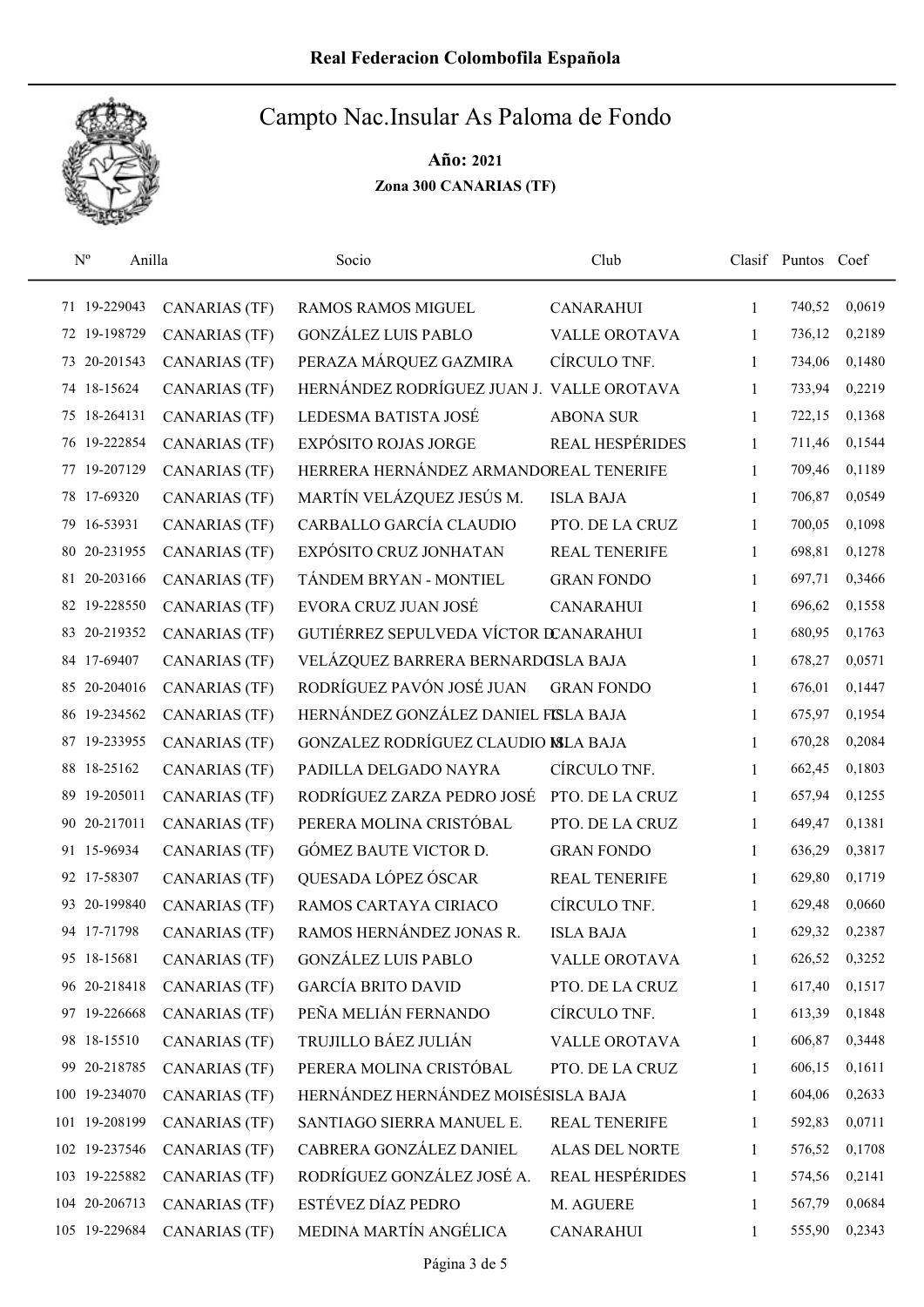

|    | $N^{o}$<br>Anilla |                      | Socio                                     | Club                   |              | Clasif Puntos Coef |        |
|----|-------------------|----------------------|-------------------------------------------|------------------------|--------------|--------------------|--------|
|    | 71 19-229043      | <b>CANARIAS (TF)</b> | <b>RAMOS RAMOS MIGUEL</b>                 | <b>CANARAHUI</b>       | $\mathbf{1}$ | 740,52             | 0,0619 |
|    | 72 19-198729      | <b>CANARIAS (TF)</b> | <b>GONZÁLEZ LUIS PABLO</b>                | <b>VALLE OROTAVA</b>   | 1            | 736,12             | 0,2189 |
| 73 | 20-201543         | CANARIAS (TF)        | PERAZA MÁRQUEZ GAZMIRA                    | CÍRCULO TNF.           | 1            | 734,06             | 0,1480 |
|    | 74 18-15624       | <b>CANARIAS (TF)</b> | HERNÁNDEZ RODRÍGUEZ JUAN J. VALLE OROTAVA |                        | 1            | 733,94             | 0,2219 |
| 75 | 18-264131         | <b>CANARIAS (TF)</b> | LEDESMA BATISTA JOSÉ                      | <b>ABONA SUR</b>       | 1            | 722,15             | 0,1368 |
| 76 | 19-222854         | <b>CANARIAS (TF)</b> | <b>EXPÓSITO ROJAS JORGE</b>               | <b>REAL HESPÉRIDES</b> | 1            | 711,46             | 0,1544 |
| 77 | 19-207129         | <b>CANARIAS (TF)</b> | HERRERA HERNÁNDEZ ARMANDOREAL TENERIFE    |                        | 1            | 709,46             | 0,1189 |
| 78 | 17-69320          | CANARIAS (TF)        | MARTÍN VELÁZQUEZ JESÚS M.                 | <b>ISLA BAJA</b>       | 1            | 706,87             | 0,0549 |
|    | 79 16-53931       | <b>CANARIAS (TF)</b> | CARBALLO GARCÍA CLAUDIO                   | PTO. DE LA CRUZ        | 1            | 700,05             | 0,1098 |
| 80 | 20-231955         | <b>CANARIAS (TF)</b> | EXPÓSITO CRUZ JONHATAN                    | <b>REAL TENERIFE</b>   | 1            | 698,81             | 0,1278 |
|    | 81 20-203166      | <b>CANARIAS (TF)</b> | TÁNDEM BRYAN - MONTIEL                    | <b>GRAN FONDO</b>      | 1            | 697,71             | 0,3466 |
| 82 | 19-228550         | <b>CANARIAS (TF)</b> | EVORA CRUZ JUAN JOSÉ                      | <b>CANARAHUI</b>       | 1            | 696,62             | 0,1558 |
| 83 | 20-219352         | <b>CANARIAS (TF)</b> | GUTIÉRREZ SEPULVEDA VÍCTOR DCANARAHUI     |                        | 1            | 680,95             | 0,1763 |
| 84 | 17-69407          | <b>CANARIAS (TF)</b> | VELÁZQUEZ BARRERA BERNARDOSLA BAJA        |                        | 1            | 678,27             | 0,0571 |
|    | 85 20-204016      | CANARIAS (TF)        | RODRÍGUEZ PAVÓN JOSÉ JUAN                 | <b>GRAN FONDO</b>      | 1            | 676,01             | 0,1447 |
| 86 | 19-234562         | <b>CANARIAS (TF)</b> | HERNÁNDEZ GONZÁLEZ DANIEL FISLA BAJA      |                        | $\mathbf{1}$ | 675,97             | 0,1954 |
| 87 | 19-233955         | <b>CANARIAS (TF)</b> | GONZALEZ RODRÍGUEZ CLAUDIO MLA BAJA       |                        | 1            | 670,28             | 0,2084 |
| 88 | 18-25162          | <b>CANARIAS (TF)</b> | PADILLA DELGADO NAYRA                     | CÍRCULO TNF.           | $\mathbf{1}$ | 662,45             | 0,1803 |
| 89 | 19-205011         | <b>CANARIAS (TF)</b> | RODRÍGUEZ ZARZA PEDRO JOSÉ                | PTO. DE LA CRUZ        | $\mathbf{1}$ | 657,94             | 0,1255 |
| 90 | 20-217011         | <b>CANARIAS (TF)</b> | PERERA MOLINA CRISTÓBAL                   | PTO. DE LA CRUZ        | $\mathbf{1}$ | 649,47             | 0,1381 |
|    | 91 15-96934       | <b>CANARIAS (TF)</b> | GÓMEZ BAUTE VICTOR D.                     | <b>GRAN FONDO</b>      | 1            | 636,29             | 0,3817 |
|    | 92 17-58307       | <b>CANARIAS (TF)</b> | QUESADA LÓPEZ ÓSCAR                       | <b>REAL TENERIFE</b>   | 1            | 629,80             | 0,1719 |
| 93 | 20-199840         | <b>CANARIAS (TF)</b> | RAMOS CARTAYA CIRIACO                     | CÍRCULO TNF.           | $\mathbf{1}$ | 629,48             | 0,0660 |
|    | 94 17-71798       | <b>CANARIAS</b> (TF) | RAMOS HERNÁNDEZ JONAS R.                  | <b>ISLA BAJA</b>       | 1            | 629,32             | 0,2387 |
|    | 95 18-15681       | <b>CANARIAS (TF)</b> | <b>GONZÁLEZ LUIS PABLO</b>                | VALLE OROTAVA          | 1            | 626,52             | 0,3252 |
|    | 96 20-218418      | CANARIAS (TF)        | <b>GARCÍA BRITO DAVID</b>                 | PTO. DE LA CRUZ        | 1            | 617,40             | 0,1517 |
|    | 97 19-226668      | CANARIAS (TF)        | PEÑA MELIÁN FERNANDO                      | CÍRCULO TNF.           | 1            | 613,39             | 0,1848 |
|    | 98 18-15510       | <b>CANARIAS (TF)</b> | TRUJILLO BÁEZ JULIÁN                      | VALLE OROTAVA          | 1            | 606,87             | 0,3448 |
|    | 99 20-218785      | CANARIAS (TF)        | PERERA MOLINA CRISTÓBAL                   | PTO. DE LA CRUZ        | 1            | 606,15             | 0,1611 |
|    | 100 19-234070     | <b>CANARIAS (TF)</b> | HERNÁNDEZ HERNÁNDEZ MOISÉSISLA BAJA       |                        | 1            | 604,06             | 0,2633 |
|    | 101 19-208199     | <b>CANARIAS (TF)</b> | SANTIAGO SIERRA MANUEL E.                 | <b>REAL TENERIFE</b>   | 1            | 592,83             | 0,0711 |
|    | 102 19-237546     | CANARIAS (TF)        | CABRERA GONZÁLEZ DANIEL                   | ALAS DEL NORTE         | 1            | 576,52             | 0,1708 |
|    | 103 19-225882     | CANARIAS (TF)        | RODRÍGUEZ GONZÁLEZ JOSÉ A.                | REAL HESPÉRIDES        | 1            | 574,56             | 0,2141 |
|    | 104 20-206713     | CANARIAS (TF)        | ESTÉVEZ DÍAZ PEDRO                        | M. AGUERE              | 1            | 567,79             | 0,0684 |
|    | 105 19-229684     | <b>CANARIAS (TF)</b> | MEDINA MARTÍN ANGÉLICA                    | <b>CANARAHUI</b>       | $\mathbf{1}$ | 555,90             | 0,2343 |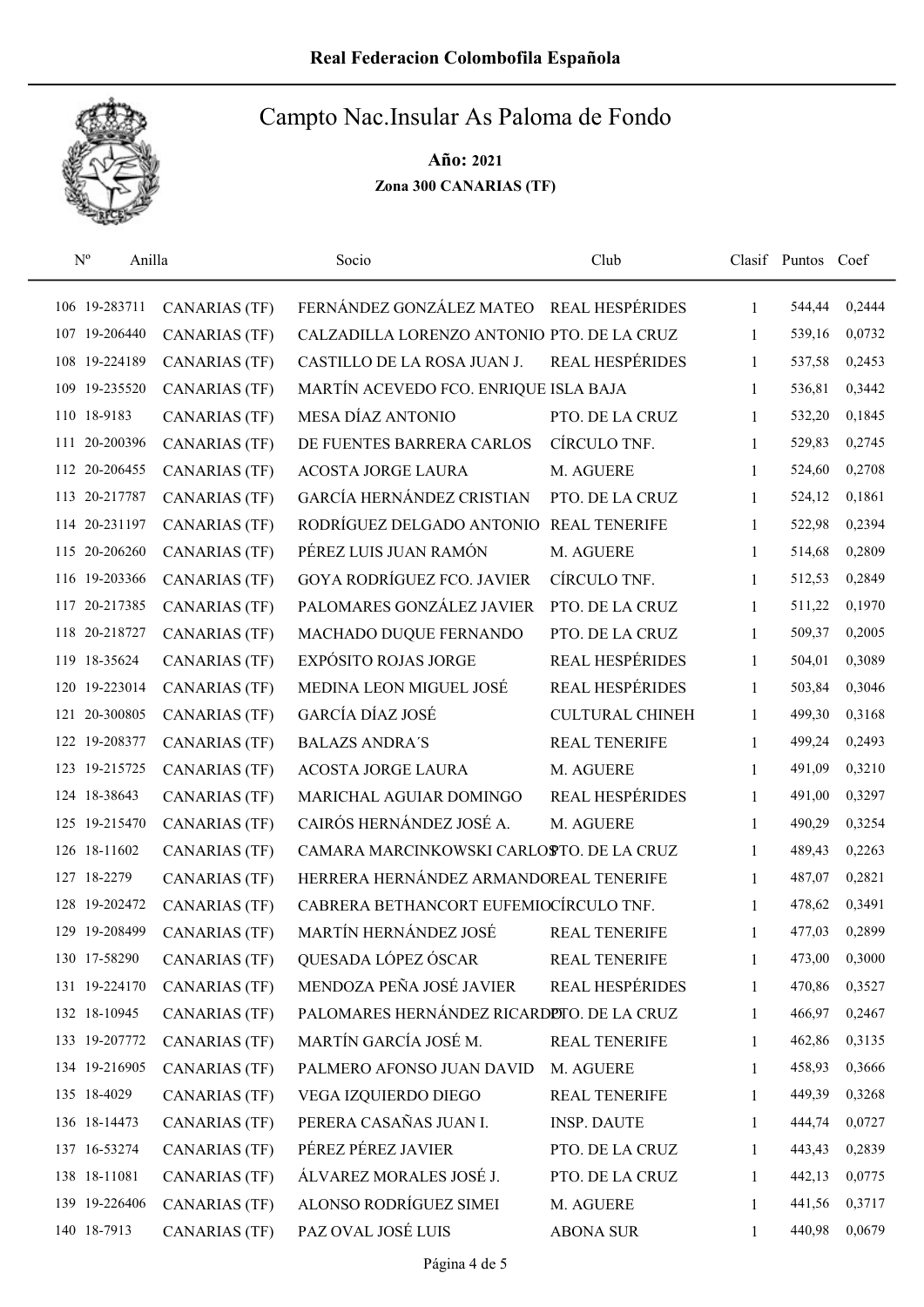

| $N^{o}$<br>Anilla |                      | Socio                                      | Club                   |              | Clasif Puntos Coef |        |
|-------------------|----------------------|--------------------------------------------|------------------------|--------------|--------------------|--------|
| 106 19-283711     | <b>CANARIAS (TF)</b> | FERNÁNDEZ GONZÁLEZ MATEO REAL HESPÉRIDES   |                        | $\mathbf{1}$ | 544,44             | 0,2444 |
| 107 19-206440     | <b>CANARIAS (TF)</b> | CALZADILLA LORENZO ANTONIO PTO. DE LA CRUZ |                        | 1            | 539,16             | 0,0732 |
| 108 19-224189     | <b>CANARIAS (TF)</b> | CASTILLO DE LA ROSA JUAN J.                | <b>REAL HESPÉRIDES</b> | 1            | 537,58             | 0,2453 |
| 109 19-235520     | <b>CANARIAS (TF)</b> | MARTÍN ACEVEDO FCO. ENRIQUE ISLA BAJA      |                        | 1            | 536,81             | 0,3442 |
| 110 18-9183       | <b>CANARIAS (TF)</b> | MESA DÍAZ ANTONIO                          | PTO. DE LA CRUZ        | $\mathbf{1}$ | 532,20             | 0,1845 |
| 20-200396<br>111  | <b>CANARIAS (TF)</b> | DE FUENTES BARRERA CARLOS                  | CÍRCULO TNF.           | 1            | 529,83             | 0,2745 |
| 112 20-206455     | <b>CANARIAS (TF)</b> | <b>ACOSTA JORGE LAURA</b>                  | M. AGUERE              | $\mathbf{1}$ | 524,60             | 0,2708 |
| 113 20-217787     | <b>CANARIAS (TF)</b> | GARCÍA HERNÁNDEZ CRISTIAN                  | PTO. DE LA CRUZ        | 1            | 524,12             | 0,1861 |
| 114 20-231197     | <b>CANARIAS (TF)</b> | RODRÍGUEZ DELGADO ANTONIO                  | <b>REAL TENERIFE</b>   | 1            | 522,98             | 0,2394 |
| 115 20-206260     | <b>CANARIAS (TF)</b> | PÉREZ LUIS JUAN RAMÓN                      | M. AGUERE              | 1            | 514,68             | 0,2809 |
| 116 19-203366     | <b>CANARIAS (TF)</b> | <b>GOYA RODRÍGUEZ FCO. JAVIER</b>          | CÍRCULO TNF.           | 1            | 512,53             | 0,2849 |
| 117 20-217385     | <b>CANARIAS (TF)</b> | PALOMARES GONZÁLEZ JAVIER                  | PTO. DE LA CRUZ        | 1            | 511,22             | 0,1970 |
| 118 20-218727     | <b>CANARIAS (TF)</b> | MACHADO DUQUE FERNANDO                     | PTO. DE LA CRUZ        | 1            | 509,37             | 0,2005 |
| 119 18-35624      | <b>CANARIAS (TF)</b> | <b>EXPÓSITO ROJAS JORGE</b>                | <b>REAL HESPÉRIDES</b> | 1            | 504,01             | 0,3089 |
| 120 19-223014     | CANARIAS (TF)        | MEDINA LEON MIGUEL JOSÉ                    | <b>REAL HESPÉRIDES</b> | 1            | 503,84             | 0,3046 |
| 121 20-300805     | <b>CANARIAS (TF)</b> | GARCÍA DÍAZ JOSÉ                           | <b>CULTURAL CHINEH</b> | 1            | 499,30             | 0,3168 |
| 122 19-208377     | <b>CANARIAS (TF)</b> | <b>BALAZS ANDRA'S</b>                      | REAL TENERIFE          | 1            | 499,24             | 0,2493 |
| 123 19-215725     | <b>CANARIAS (TF)</b> | ACOSTA JORGE LAURA                         | M. AGUERE              | $\mathbf{1}$ | 491,09             | 0,3210 |
| 124 18-38643      | <b>CANARIAS (TF)</b> | MARICHAL AGUIAR DOMINGO                    | <b>REAL HESPÉRIDES</b> | 1            | 491,00             | 0,3297 |
| 125 19-215470     | CANARIAS (TF)        | CAIRÓS HERNÁNDEZ JOSÉ A.                   | M. AGUERE              | 1            | 490,29             | 0,3254 |
| 126 18-11602      | <b>CANARIAS (TF)</b> | CAMARA MARCINKOWSKI CARLOSTO. DE LA CRUZ   |                        | 1            | 489,43             | 0,2263 |
| 127 18-2279       | <b>CANARIAS (TF)</b> | HERRERA HERNÁNDEZ ARMANDOREAL TENERIFE     |                        | 1            | 487,07             | 0,2821 |
| 128 19-202472     | <b>CANARIAS (TF)</b> | CABRERA BETHANCORT EUFEMIOCÍRCULO TNF.     |                        | 1            | 478,62             | 0,3491 |
| 129 19-208499     | <b>CANARIAS (TF)</b> | MARTÍN HERNÁNDEZ JOSÉ                      | REAL TENERIFE          | 1            | 477,03             | 0,2899 |
| 130 17-58290      | <b>CANARIAS (TF)</b> | QUESADA LÓPEZ ÓSCAR                        | REAL TENERIFE          | 1            | 473,00             | 0,3000 |
| 131 19-224170     | <b>CANARIAS (TF)</b> | MENDOZA PEÑA JOSÉ JAVIER                   | <b>REAL HESPÉRIDES</b> | 1            | 470,86             | 0,3527 |
| 132 18-10945      | CANARIAS (TF)        | PALOMARES HERNÁNDEZ RICARDIDTO. DE LA CRUZ |                        | 1            | 466,97             | 0,2467 |
| 133 19-207772     | <b>CANARIAS (TF)</b> | MARTÍN GARCÍA JOSÉ M.                      | <b>REAL TENERIFE</b>   | 1            | 462,86             | 0,3135 |
| 134 19-216905     | <b>CANARIAS (TF)</b> | PALMERO AFONSO JUAN DAVID                  | M. AGUERE              | 1            | 458,93             | 0,3666 |
| 135 18-4029       | <b>CANARIAS (TF)</b> | VEGA IZQUIERDO DIEGO                       | <b>REAL TENERIFE</b>   | 1            | 449,39             | 0,3268 |
| 136 18-14473      | <b>CANARIAS (TF)</b> | PERERA CASAÑAS JUAN I.                     | <b>INSP. DAUTE</b>     | 1            | 444,74             | 0,0727 |
| 137 16-53274      | <b>CANARIAS (TF)</b> | PÉREZ PÉREZ JAVIER                         | PTO. DE LA CRUZ        | 1            | 443,43             | 0,2839 |
| 138 18-11081      | CANARIAS (TF)        | ÁLVAREZ MORALES JOSÉ J.                    | PTO. DE LA CRUZ        | 1            | 442,13             | 0,0775 |
| 139 19-226406     | <b>CANARIAS (TF)</b> | ALONSO RODRÍGUEZ SIMEI                     | M. AGUERE              | 1            | 441,56             | 0,3717 |
| 140 18-7913       | <b>CANARIAS (TF)</b> | PAZ OVAL JOSÉ LUIS                         | <b>ABONA SUR</b>       | 1            | 440,98             | 0,0679 |